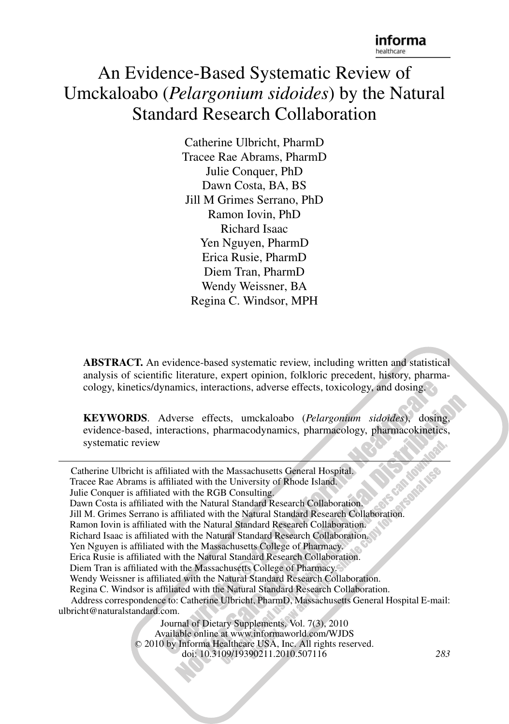# An Evidence-Based Systematic Review of Umckaloabo (*Pelargonium sidoides*) by the Natural Standard Research Collaboration

Catherine Ulbricht, PharmD Tracee Rae Abrams, PharmD Julie Conquer, PhD Dawn Costa, BA, BS Jill M Grimes Serrano, PhD Ramon Iovin, PhD Richard Isaac Yen Nguyen, PharmD Erica Rusie, PharmD Diem Tran, PharmD Wendy Weissner, BA Regina C. Windsor, MPH

**ABSTRACT.** An evidence-based systematic review, including written and statistical analysis of scientific literature, expert opinion, folkloric precedent, history, pharmacology, kinetics/dynamics, interactions, adverse effects, toxicology, and dosing.

**KEYWORDS**. Adverse effects, umckaloabo (*Pelargonium sidoides*), dosing, evidence-based, interactions, pharmacodynamics, pharmacology, pharmacokinetics, systematic review

Catherine Ulbricht is affiliated with the Massachusetts General Hospital. Tracee Rae Abrams is affiliated with the University of Rhode Island. Julie Conquer is affiliated with the RGB Consulting. Dawn Costa is affiliated with the Natural Standard Research Collaboration. Jill M. Grimes Serrano is affiliated with the Natural Standard Research Collaboration. Ramon Iovin is affiliated with the Natural Standard Research Collaboration. Richard Isaac is affiliated with the Natural Standard Research Collaboration. Yen Nguyen is affiliated with the Massachusetts College of Pharmacy. Erica Rusie is affiliated with the Natural Standard Research Collaboration. Diem Tran is affiliated with the Massachusetts College of Pharmacy. Wendy Weissner is affiliated with the Natural Standard Research Collaboration. Regina C. Windsor is affiliated with the Natural Standard Research Collaboration. Address correspondence to: Catherine Ulbricht, PharmD, Massachusetts General Hospital E-mail: ulbricht@naturalstandard.com.

Journal of Dietary Supplements, Vol. 7(3), 2010 Available online at www.informaworld.com/WJDS <sup>C</sup> 2010 by Informa Healthcare USA, Inc. All rights reserved. doi: 10.3109/19390211.2010.507116 *283*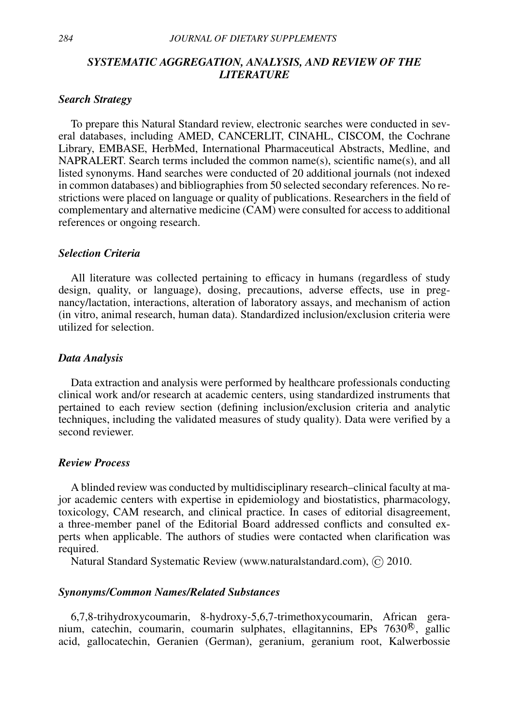### *SYSTEMATIC AGGREGATION, ANALYSIS, AND REVIEW OF THE LITERATURE*

#### *Search Strategy*

To prepare this Natural Standard review, electronic searches were conducted in several databases, including AMED, CANCERLIT, CINAHL, CISCOM, the Cochrane Library, EMBASE, HerbMed, International Pharmaceutical Abstracts, Medline, and NAPRALERT. Search terms included the common name(s), scientific name(s), and all listed synonyms. Hand searches were conducted of 20 additional journals (not indexed in common databases) and bibliographies from 50 selected secondary references. No restrictions were placed on language or quality of publications. Researchers in the field of complementary and alternative medicine (CAM) were consulted for access to additional references or ongoing research.

### *Selection Criteria*

All literature was collected pertaining to efficacy in humans (regardless of study design, quality, or language), dosing, precautions, adverse effects, use in pregnancy/lactation, interactions, alteration of laboratory assays, and mechanism of action (in vitro, animal research, human data). Standardized inclusion/exclusion criteria were utilized for selection.

### *Data Analysis*

Data extraction and analysis were performed by healthcare professionals conducting clinical work and/or research at academic centers, using standardized instruments that pertained to each review section (defining inclusion/exclusion criteria and analytic techniques, including the validated measures of study quality). Data were verified by a second reviewer.

#### *Review Process*

A blinded review was conducted by multidisciplinary research–clinical faculty at major academic centers with expertise in epidemiology and biostatistics, pharmacology, toxicology, CAM research, and clinical practice. In cases of editorial disagreement, a three-member panel of the Editorial Board addressed conflicts and consulted experts when applicable. The authors of studies were contacted when clarification was required.

Natural Standard Systematic Review (www.naturalstandard.com), © 2010.

#### *Synonyms/Common Names/Related Substances*

6,7,8-trihydroxycoumarin, 8-hydroxy-5,6,7-trimethoxycoumarin, African geranium, catechin, coumarin, coumarin sulphates, ellagitannins, EPs  $7630^{\circ}$ , gallic acid, gallocatechin, Geranien (German), geranium, geranium root, Kalwerbossie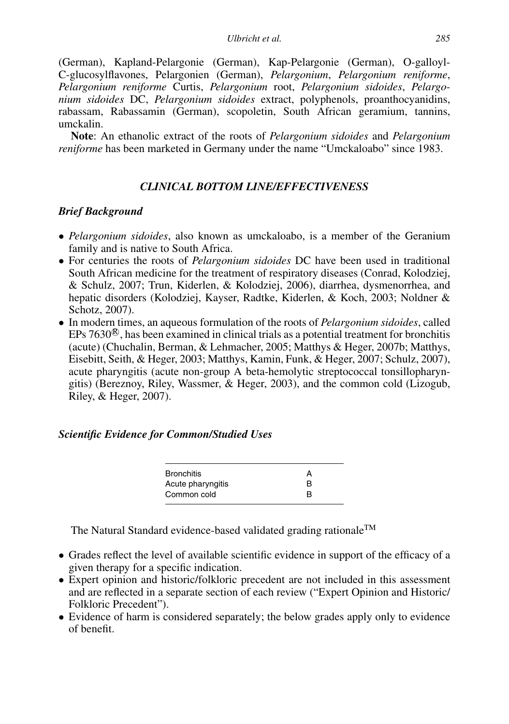(German), Kapland-Pelargonie (German), Kap-Pelargonie (German), O-galloyl-C-glucosylflavones, Pelargonien (German), *Pelargonium*, *Pelargonium reniforme*, *Pelargonium reniforme* Curtis, *Pelargonium* root, *Pelargonium sidoides*, *Pelargonium sidoides* DC, *Pelargonium sidoides* extract, polyphenols, proanthocyanidins, rabassam, Rabassamin (German), scopoletin, South African geramium, tannins, umckalin.

**Note**: An ethanolic extract of the roots of *Pelargonium sidoides* and *Pelargonium reniforme* has been marketed in Germany under the name "Umckaloabo" since 1983.

## *CLINICAL BOTTOM LINE/EFFECTIVENESS*

## *Brief Background*

- *Pelargonium sidoides*, also known as umckaloabo, is a member of the Geranium family and is native to South Africa.
- For centuries the roots of *Pelargonium sidoides* DC have been used in traditional South African medicine for the treatment of respiratory diseases (Conrad, Kolodziej, & Schulz, 2007; Trun, Kiderlen, & Kolodziej, 2006), diarrhea, dysmenorrhea, and hepatic disorders (Kolodziej, Kayser, Radtke, Kiderlen, & Koch, 2003; Noldner & Schotz, 2007).
- In modern times, an aqueous formulation of the roots of *Pelargonium sidoides*, called  $EPs 7630^{\circledR}$ , has been examined in clinical trials as a potential treatment for bronchitis (acute) (Chuchalin, Berman, & Lehmacher, 2005; Matthys & Heger, 2007b; Matthys, Eisebitt, Seith, & Heger, 2003; Matthys, Kamin, Funk, & Heger, 2007; Schulz, 2007), acute pharyngitis (acute non-group A beta-hemolytic streptococcal tonsillopharyngitis) (Bereznoy, Riley, Wassmer, & Heger, 2003), and the common cold (Lizogub, Riley, & Heger, 2007).

## *Scientific Evidence for Common/Studied Uses*

| <b>Bronchitis</b> | А |
|-------------------|---|
| Acute pharyngitis | R |
| Common cold       | в |
|                   |   |

The Natural Standard evidence-based validated grading rationale<sup>TM</sup>

- Grades reflect the level of available scientific evidence in support of the efficacy of a given therapy for a specific indication.
- Expert opinion and historic/folkloric precedent are not included in this assessment and are reflected in a separate section of each review ("Expert Opinion and Historic/ Folkloric Precedent").
- Evidence of harm is considered separately; the below grades apply only to evidence of benefit.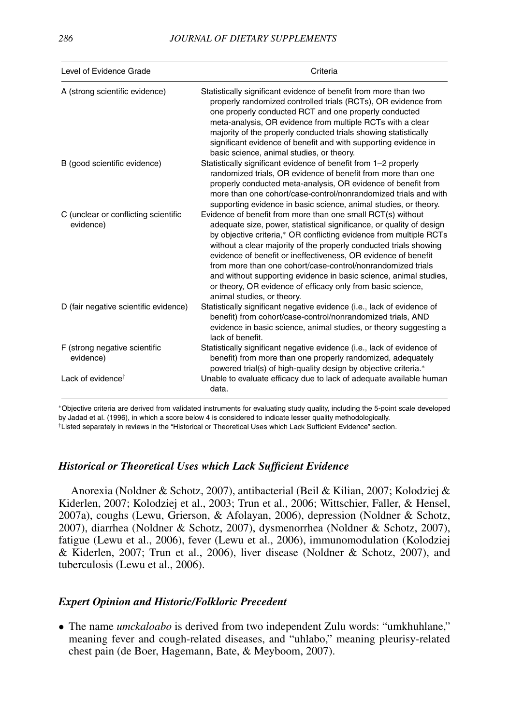| Level of Evidence Grade                           | Criteria                                                                                                                                                                                                                                                                                                                                                                                                                                                                                                                                                                          |
|---------------------------------------------------|-----------------------------------------------------------------------------------------------------------------------------------------------------------------------------------------------------------------------------------------------------------------------------------------------------------------------------------------------------------------------------------------------------------------------------------------------------------------------------------------------------------------------------------------------------------------------------------|
| A (strong scientific evidence)                    | Statistically significant evidence of benefit from more than two<br>properly randomized controlled trials (RCTs), OR evidence from<br>one properly conducted RCT and one properly conducted<br>meta-analysis, OR evidence from multiple RCTs with a clear<br>majority of the properly conducted trials showing statistically<br>significant evidence of benefit and with supporting evidence in<br>basic science, animal studies, or theory.                                                                                                                                      |
| B (good scientific evidence)                      | Statistically significant evidence of benefit from 1-2 properly<br>randomized trials, OR evidence of benefit from more than one<br>properly conducted meta-analysis, OR evidence of benefit from<br>more than one cohort/case-control/nonrandomized trials and with<br>supporting evidence in basic science, animal studies, or theory.                                                                                                                                                                                                                                           |
| C (unclear or conflicting scientific<br>evidence) | Evidence of benefit from more than one small RCT(s) without<br>adequate size, power, statistical significance, or quality of design<br>by objective criteria,* OR conflicting evidence from multiple RCTs<br>without a clear majority of the properly conducted trials showing<br>evidence of benefit or ineffectiveness, OR evidence of benefit<br>from more than one cohort/case-control/nonrandomized trials<br>and without supporting evidence in basic science, animal studies,<br>or theory, OR evidence of efficacy only from basic science,<br>animal studies, or theory. |
| D (fair negative scientific evidence)             | Statistically significant negative evidence (i.e., lack of evidence of<br>benefit) from cohort/case-control/nonrandomized trials, AND<br>evidence in basic science, animal studies, or theory suggesting a<br>lack of benefit.                                                                                                                                                                                                                                                                                                                                                    |
| F (strong negative scientific<br>evidence)        | Statistically significant negative evidence (i.e., lack of evidence of<br>benefit) from more than one properly randomized, adequately<br>powered trial(s) of high-quality design by objective criteria.*                                                                                                                                                                                                                                                                                                                                                                          |
| Lack of evidence <sup><math>\dagger</math></sup>  | Unable to evaluate efficacy due to lack of adequate available human<br>data.                                                                                                                                                                                                                                                                                                                                                                                                                                                                                                      |

∗Objective criteria are derived from validated instruments for evaluating study quality, including the 5-point scale developed by Jadad et al. (1996), in which a score below 4 is considered to indicate lesser quality methodologically. †Listed separately in reviews in the "Historical or Theoretical Uses which Lack Sufficient Evidence" section.

### *Historical or Theoretical Uses which Lack Sufficient Evidence*

Anorexia (Noldner & Schotz, 2007), antibacterial (Beil & Kilian, 2007; Kolodziej & Kiderlen, 2007; Kolodziej et al., 2003; Trun et al., 2006; Wittschier, Faller, & Hensel, 2007a), coughs (Lewu, Grierson, & Afolayan, 2006), depression (Noldner & Schotz, 2007), diarrhea (Noldner & Schotz, 2007), dysmenorrhea (Noldner & Schotz, 2007), fatigue (Lewu et al., 2006), fever (Lewu et al., 2006), immunomodulation (Kolodziej & Kiderlen, 2007; Trun et al., 2006), liver disease (Noldner & Schotz, 2007), and tuberculosis (Lewu et al., 2006).

### *Expert Opinion and Historic/Folkloric Precedent*

• The name *umckaloabo* is derived from two independent Zulu words: "umkhuhlane," meaning fever and cough-related diseases, and "uhlabo," meaning pleurisy-related chest pain (de Boer, Hagemann, Bate, & Meyboom, 2007).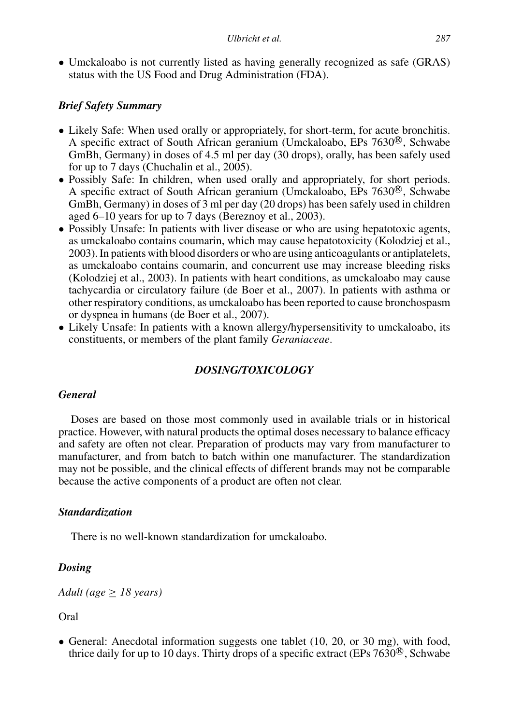• Umckaloabo is not currently listed as having generally recognized as safe (GRAS) status with the US Food and Drug Administration (FDA).

## *Brief Safety Summary*

- Likely Safe: When used orally or appropriately, for short-term, for acute bronchitis. A specific extract of South African geranium (Umckaloabo, EPs  $7630\%$ , Schwabe GmBh, Germany) in doses of 4.5 ml per day (30 drops), orally, has been safely used for up to 7 days (Chuchalin et al., 2005).
- Possibly Safe: In children, when used orally and appropriately, for short periods. A specific extract of South African geranium (Umckaloabo, EPs  $7630\%$ , Schwabe GmBh, Germany) in doses of 3 ml per day (20 drops) has been safely used in children aged 6–10 years for up to 7 days (Bereznoy et al., 2003).
- Possibly Unsafe: In patients with liver disease or who are using hepatotoxic agents, as umckaloabo contains coumarin, which may cause hepatotoxicity (Kolodziej et al., 2003). In patients with blood disorders or who are using anticoagulants or antiplatelets, as umckaloabo contains coumarin, and concurrent use may increase bleeding risks (Kolodziej et al., 2003). In patients with heart conditions, as umckaloabo may cause tachycardia or circulatory failure (de Boer et al., 2007). In patients with asthma or other respiratory conditions, as umckaloabo has been reported to cause bronchospasm or dyspnea in humans (de Boer et al., 2007).
- Likely Unsafe: In patients with a known allergy/hypersensitivity to umckaloabo, its constituents, or members of the plant family *Geraniaceae*.

## *DOSING/TOXICOLOGY*

### *General*

Doses are based on those most commonly used in available trials or in historical practice. However, with natural products the optimal doses necessary to balance efficacy and safety are often not clear. Preparation of products may vary from manufacturer to manufacturer, and from batch to batch within one manufacturer. The standardization may not be possible, and the clinical effects of different brands may not be comparable because the active components of a product are often not clear.

## *Standardization*

There is no well-known standardization for umckaloabo.

## *Dosing*

*Adult (age* ≥ *18 years)*

Oral

• General: Anecdotal information suggests one tablet (10, 20, or 30 mg), with food, thrice daily for up to 10 days. Thirty drops of a specific extract (EPs  $7630\%$ , Schwabe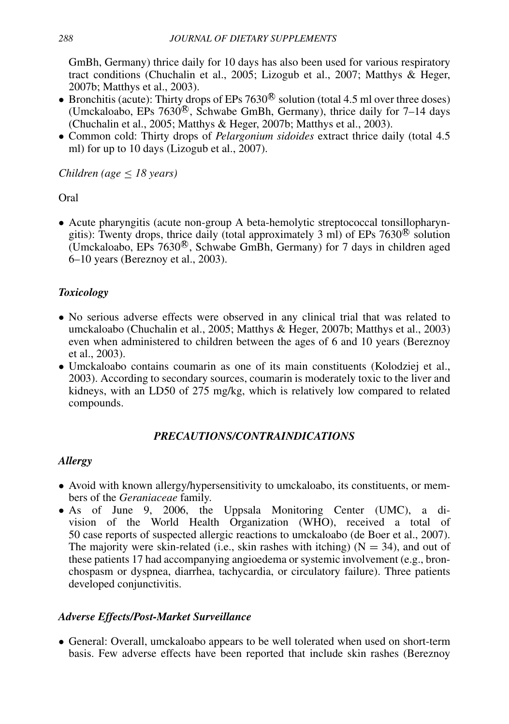GmBh, Germany) thrice daily for 10 days has also been used for various respiratory tract conditions (Chuchalin et al., 2005; Lizogub et al., 2007; Matthys & Heger, 2007b; Matthys et al., 2003).

- Bronchitis (acute): Thirty drops of EPs  $7630^{\circ}$  solution (total 4.5 ml over three doses) (Umckaloabo, EPs  $7630\%$ , Schwabe GmBh, Germany), thrice daily for  $7-14$  days (Chuchalin et al., 2005; Matthys & Heger, 2007b; Matthys et al., 2003).
- Common cold: Thirty drops of *Pelargonium sidoides* extract thrice daily (total 4.5 ml) for up to 10 days (Lizogub et al., 2007).

*Children (age* ≤ *18 years)*

## Oral

• Acute pharyngitis (acute non-group A beta-hemolytic streptococcal tonsillopharyngitis): Twenty drops, thrice daily (total approximately 3 ml) of EPs  $7630^{\circ}$  solution (Umckaloabo, EPs  $7630\%$ , Schwabe GmBh, Germany) for 7 days in children aged 6–10 years (Bereznoy et al., 2003).

## *Toxicology*

- No serious adverse effects were observed in any clinical trial that was related to umckaloabo (Chuchalin et al., 2005; Matthys & Heger, 2007b; Matthys et al., 2003) even when administered to children between the ages of 6 and 10 years (Bereznoy et al., 2003).
- Umckaloabo contains coumarin as one of its main constituents (Kolodziej et al., 2003). According to secondary sources, coumarin is moderately toxic to the liver and kidneys, with an LD50 of 275 mg/kg, which is relatively low compared to related compounds.

## *PRECAUTIONS/CONTRAINDICATIONS*

## *Allergy*

- Avoid with known allergy/hypersensitivity to umckaloabo, its constituents, or members of the *Geraniaceae* family.
- As of June 9, 2006, the Uppsala Monitoring Center (UMC), a division of the World Health Organization (WHO), received a total of 50 case reports of suspected allergic reactions to umckaloabo (de Boer et al., 2007). The majority were skin-related (i.e., skin rashes with itching) ( $N = 34$ ), and out of these patients 17 had accompanying angioedema or systemic involvement (e.g., bronchospasm or dyspnea, diarrhea, tachycardia, or circulatory failure). Three patients developed conjunctivitis.

## *Adverse Effects/Post-Market Surveillance*

• General: Overall, umckaloabo appears to be well tolerated when used on short-term basis. Few adverse effects have been reported that include skin rashes (Bereznoy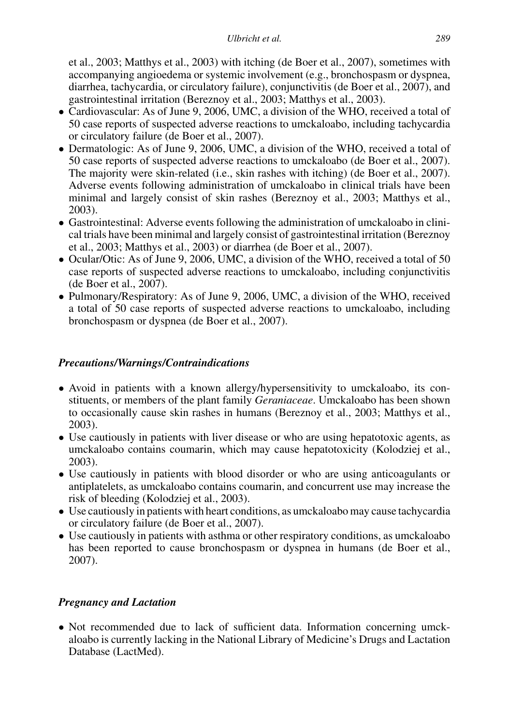et al., 2003; Matthys et al., 2003) with itching (de Boer et al., 2007), sometimes with accompanying angioedema or systemic involvement (e.g., bronchospasm or dyspnea, diarrhea, tachycardia, or circulatory failure), conjunctivitis (de Boer et al., 2007), and gastrointestinal irritation (Bereznoy et al., 2003; Matthys et al., 2003).

- Cardiovascular: As of June 9, 2006, UMC, a division of the WHO, received a total of 50 case reports of suspected adverse reactions to umckaloabo, including tachycardia or circulatory failure (de Boer et al., 2007).
- Dermatologic: As of June 9, 2006, UMC, a division of the WHO, received a total of 50 case reports of suspected adverse reactions to umckaloabo (de Boer et al., 2007). The majority were skin-related (i.e., skin rashes with itching) (de Boer et al., 2007). Adverse events following administration of umckaloabo in clinical trials have been minimal and largely consist of skin rashes (Bereznoy et al., 2003; Matthys et al., 2003).
- Gastrointestinal: Adverse events following the administration of umckaloabo in clinical trials have been minimal and largely consist of gastrointestinal irritation (Bereznoy et al., 2003; Matthys et al., 2003) or diarrhea (de Boer et al., 2007).
- Ocular/Otic: As of June 9, 2006, UMC, a division of the WHO, received a total of 50 case reports of suspected adverse reactions to umckaloabo, including conjunctivitis (de Boer et al., 2007).
- Pulmonary/Respiratory: As of June 9, 2006, UMC, a division of the WHO, received a total of 50 case reports of suspected adverse reactions to umckaloabo, including bronchospasm or dyspnea (de Boer et al., 2007).

## *Precautions/Warnings/Contraindications*

- Avoid in patients with a known allergy/hypersensitivity to umckaloabo, its constituents, or members of the plant family *Geraniaceae*. Umckaloabo has been shown to occasionally cause skin rashes in humans (Bereznoy et al., 2003; Matthys et al., 2003).
- Use cautiously in patients with liver disease or who are using hepatotoxic agents, as umckaloabo contains coumarin, which may cause hepatotoxicity (Kolodziej et al., 2003).
- Use cautiously in patients with blood disorder or who are using anticoagulants or antiplatelets, as umckaloabo contains coumarin, and concurrent use may increase the risk of bleeding (Kolodziej et al., 2003).
- Use cautiously in patients with heart conditions, as umckaloabo may cause tachycardia or circulatory failure (de Boer et al., 2007).
- Use cautiously in patients with asthma or other respiratory conditions, as umckaloabo has been reported to cause bronchospasm or dyspnea in humans (de Boer et al., 2007).

## *Pregnancy and Lactation*

• Not recommended due to lack of sufficient data. Information concerning umckaloabo is currently lacking in the National Library of Medicine's Drugs and Lactation Database (LactMed).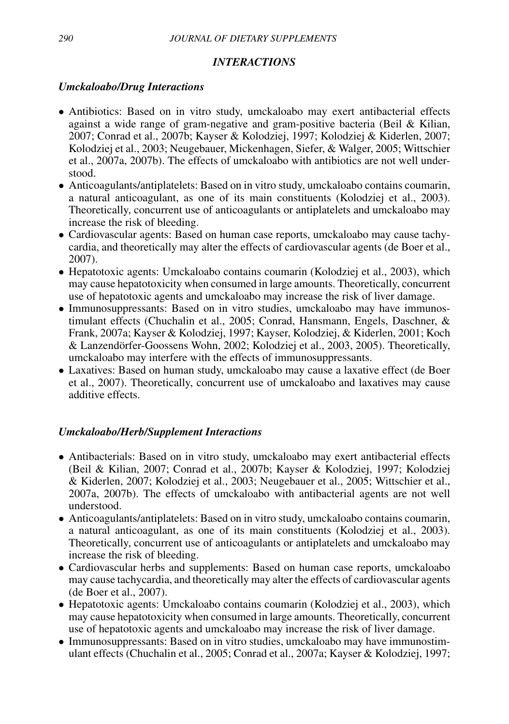## *INTERACTIONS*

### *Umckaloabo/Drug Interactions*

- Antibiotics: Based on in vitro study, umckaloabo may exert antibacterial effects against a wide range of gram-negative and gram-positive bacteria (Beil & Kilian, 2007; Conrad et al., 2007b; Kayser & Kolodziej, 1997; Kolodziej & Kiderlen, 2007; Kolodziej et al., 2003; Neugebauer, Mickenhagen, Siefer, & Walger, 2005; Wittschier et al., 2007a, 2007b). The effects of umckaloabo with antibiotics are not well understood.
- Anticoagulants/antiplatelets: Based on in vitro study, umckaloabo contains coumarin, a natural anticoagulant, as one of its main constituents (Kolodziej et al., 2003). Theoretically, concurrent use of anticoagulants or antiplatelets and umckaloabo may increase the risk of bleeding.
- Cardiovascular agents: Based on human case reports, umckaloabo may cause tachycardia, and theoretically may alter the effects of cardiovascular agents (de Boer et al., 2007).
- Hepatotoxic agents: Umckaloabo contains coumarin (Kolodziej et al., 2003), which may cause hepatotoxicity when consumed in large amounts. Theoretically, concurrent use of hepatotoxic agents and umckaloabo may increase the risk of liver damage.
- Immunosuppressants: Based on in vitro studies, umckaloabo may have immunostimulant effects (Chuchalin et al., 2005; Conrad, Hansmann, Engels, Daschner, & Frank, 2007a; Kayser & Kolodziej, 1997; Kayser, Kolodziej, & Kiderlen, 2001; Koch & Lanzendorfer-Goossens Wohn, 2002; Kolodziej et al., 2003, 2005). Theoretically, ¨ umckaloabo may interfere with the effects of immunosuppressants.
- Laxatives: Based on human study, umckaloabo may cause a laxative effect (de Boer et al., 2007). Theoretically, concurrent use of umckaloabo and laxatives may cause additive effects.

## *Umckaloabo/Herb/Supplement Interactions*

- Antibacterials: Based on in vitro study, umckaloabo may exert antibacterial effects (Beil & Kilian, 2007; Conrad et al., 2007b; Kayser & Kolodziej, 1997; Kolodziej & Kiderlen, 2007; Kolodziej et al., 2003; Neugebauer et al., 2005; Wittschier et al., 2007a, 2007b). The effects of umckaloabo with antibacterial agents are not well understood.
- Anticoagulants/antiplatelets: Based on in vitro study, umckaloabo contains coumarin, a natural anticoagulant, as one of its main constituents (Kolodziej et al., 2003). Theoretically, concurrent use of anticoagulants or antiplatelets and umckaloabo may increase the risk of bleeding.
- Cardiovascular herbs and supplements: Based on human case reports, umckaloabo may cause tachycardia, and theoretically may alter the effects of cardiovascular agents (de Boer et al., 2007).
- Hepatotoxic agents: Umckaloabo contains coumarin (Kolodziej et al., 2003), which may cause hepatotoxicity when consumed in large amounts. Theoretically, concurrent use of hepatotoxic agents and umckaloabo may increase the risk of liver damage.
- Immunosuppressants: Based on in vitro studies, umckaloabo may have immunostimulant effects (Chuchalin et al., 2005; Conrad et al., 2007a; Kayser & Kolodziej, 1997;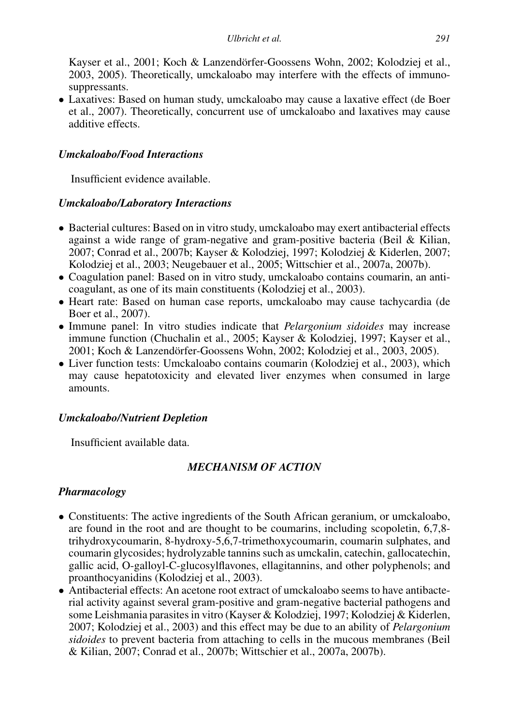Kayser et al., 2001; Koch & Lanzendörfer-Goossens Wohn, 2002; Kolodziej et al., 2003, 2005). Theoretically, umckaloabo may interfere with the effects of immunosuppressants.

• Laxatives: Based on human study, umckaloabo may cause a laxative effect (de Boer et al., 2007). Theoretically, concurrent use of umckaloabo and laxatives may cause additive effects.

## *Umckaloabo/Food Interactions*

Insufficient evidence available.

## *Umckaloabo/Laboratory Interactions*

- Bacterial cultures: Based on in vitro study, umckaloabo may exert antibacterial effects against a wide range of gram-negative and gram-positive bacteria (Beil & Kilian, 2007; Conrad et al., 2007b; Kayser & Kolodziej, 1997; Kolodziej & Kiderlen, 2007; Kolodziej et al., 2003; Neugebauer et al., 2005; Wittschier et al., 2007a, 2007b).
- Coagulation panel: Based on in vitro study, umckaloabo contains coumarin, an anticoagulant, as one of its main constituents (Kolodziej et al., 2003).
- Heart rate: Based on human case reports, umckaloabo may cause tachycardia (de Boer et al., 2007).
- Immune panel: In vitro studies indicate that *Pelargonium sidoides* may increase immune function (Chuchalin et al., 2005; Kayser & Kolodziej, 1997; Kayser et al., 2001; Koch & Lanzendorfer-Goossens Wohn, 2002; Kolodziej et al., 2003, 2005). ¨
- Liver function tests: Umckaloabo contains coumarin (Kolodziej et al., 2003), which may cause hepatotoxicity and elevated liver enzymes when consumed in large amounts.

## *Umckaloabo/Nutrient Depletion*

Insufficient available data.

## *MECHANISM OF ACTION*

## *Pharmacology*

- Constituents: The active ingredients of the South African geranium, or umckaloabo, are found in the root and are thought to be coumarins, including scopoletin, 6,7,8 trihydroxycoumarin, 8-hydroxy-5,6,7-trimethoxycoumarin, coumarin sulphates, and coumarin glycosides; hydrolyzable tannins such as umckalin, catechin, gallocatechin, gallic acid, O-galloyl-C-glucosylflavones, ellagitannins, and other polyphenols; and proanthocyanidins (Kolodziej et al., 2003).
- Antibacterial effects: An acetone root extract of umckaloabo seems to have antibacterial activity against several gram-positive and gram-negative bacterial pathogens and some Leishmania parasites in vitro (Kayser & Kolodziej, 1997; Kolodziej & Kiderlen, 2007; Kolodziej et al., 2003) and this effect may be due to an ability of *Pelargonium sidoides* to prevent bacteria from attaching to cells in the mucous membranes (Beil & Kilian, 2007; Conrad et al., 2007b; Wittschier et al., 2007a, 2007b).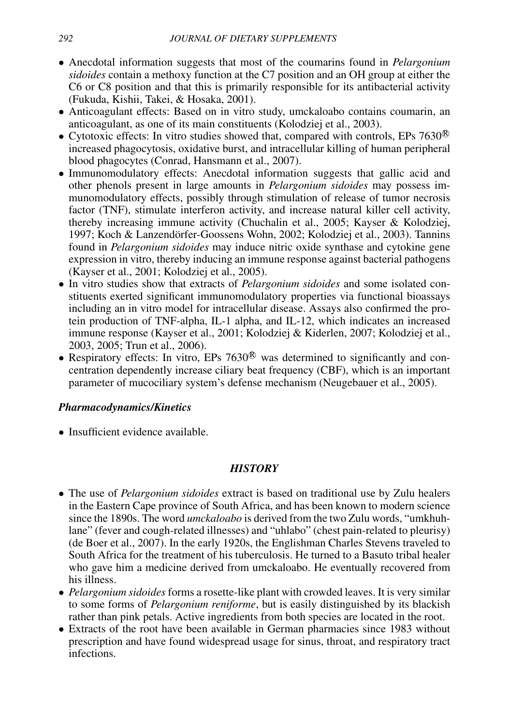- Anecdotal information suggests that most of the coumarins found in *Pelargonium sidoides* contain a methoxy function at the C7 position and an OH group at either the C6 or C8 position and that this is primarily responsible for its antibacterial activity (Fukuda, Kishii, Takei, & Hosaka, 2001).
- Anticoagulant effects: Based on in vitro study, umckaloabo contains coumarin, an anticoagulant, as one of its main constituents (Kolodziej et al., 2003).
- Cytotoxic effects: In vitro studies showed that, compared with controls, EPs  $7630^{\circ}$ increased phagocytosis, oxidative burst, and intracellular killing of human peripheral blood phagocytes (Conrad, Hansmann et al., 2007).
- Immunomodulatory effects: Anecdotal information suggests that gallic acid and other phenols present in large amounts in *Pelargonium sidoides* may possess immunomodulatory effects, possibly through stimulation of release of tumor necrosis factor (TNF), stimulate interferon activity, and increase natural killer cell activity, thereby increasing immune activity (Chuchalin et al., 2005; Kayser & Kolodziej, 1997; Koch & Lanzendörfer-Goossens Wohn, 2002; Kolodziej et al., 2003). Tannins found in *Pelargonium sidoides* may induce nitric oxide synthase and cytokine gene expression in vitro, thereby inducing an immune response against bacterial pathogens (Kayser et al., 2001; Kolodziej et al., 2005).
- In vitro studies show that extracts of *Pelargonium sidoides* and some isolated constituents exerted significant immunomodulatory properties via functional bioassays including an in vitro model for intracellular disease. Assays also confirmed the protein production of TNF-alpha, IL-1 alpha, and IL-12, which indicates an increased immune response (Kayser et al., 2001; Kolodziej & Kiderlen, 2007; Kolodziej et al., 2003, 2005; Trun et al., 2006).
- Respiratory effects: In vitro, EPs  $7630^{\circ}$  was determined to significantly and concentration dependently increase ciliary beat frequency (CBF), which is an important parameter of mucociliary system's defense mechanism (Neugebauer et al., 2005).

## *Pharmacodynamics/Kinetics*

• Insufficient evidence available.

## *HISTORY*

- The use of *Pelargonium sidoides* extract is based on traditional use by Zulu healers in the Eastern Cape province of South Africa, and has been known to modern science since the 1890s. The word *umckaloabo* is derived from the two Zulu words, "umkhuhlane" (fever and cough-related illnesses) and "uhlabo" (chest pain-related to pleurisy) (de Boer et al., 2007). In the early 1920s, the Englishman Charles Stevens traveled to South Africa for the treatment of his tuberculosis. He turned to a Basuto tribal healer who gave him a medicine derived from umckaloabo. He eventually recovered from his illness.
- *Pelargonium sidoides* forms a rosette-like plant with crowded leaves. It is very similar to some forms of *Pelargonium reniforme*, but is easily distinguished by its blackish rather than pink petals. Active ingredients from both species are located in the root.
- Extracts of the root have been available in German pharmacies since 1983 without prescription and have found widespread usage for sinus, throat, and respiratory tract infections.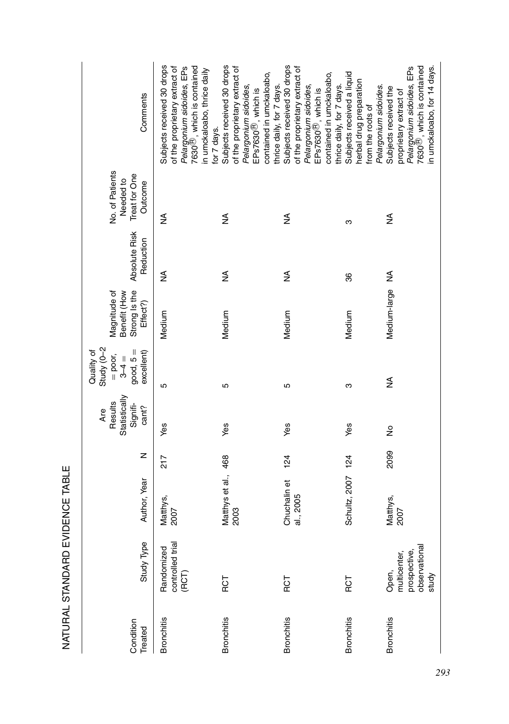| Condition<br>Treated | <b>Study Type</b>                                               | Author, Year                 | z    | Statistically<br>Results<br>Signifi-<br>cant?<br>Are | Study $(0-2)$<br>$good, 5 =$<br>Quality of<br>excellent)<br>$=$ poor,<br>$3 - 4 =$ | Magnitude of<br>Strong Is the<br>Benefit (How<br>Effect?) | Absolute Risk<br>Reduction | No. of Patients<br>Treat for One<br>Needed to<br>Outcome | Comments                                                                                                                                                                         |
|----------------------|-----------------------------------------------------------------|------------------------------|------|------------------------------------------------------|------------------------------------------------------------------------------------|-----------------------------------------------------------|----------------------------|----------------------------------------------------------|----------------------------------------------------------------------------------------------------------------------------------------------------------------------------------|
| <b>Bronchitis</b>    | controlled trial<br>(RCT)<br>Randomized                         | Vlatthys,<br>2007            | 217  | yes                                                  | 5                                                                                  | Medium                                                    | ≸                          | ≸                                                        | Subjects received 30 drops<br>of the proprietary extract of<br>Pelargonium sidoides, EPs<br>7630 <sup>®</sup> , which is contained<br>in umckaloabo, thrice daily<br>for 7 days. |
| <b>Bronchitis</b>    | <b>TOR</b>                                                      | Vlatthys et al., 468<br>2003 |      | yes                                                  | 5                                                                                  | Medium                                                    | ≸                          | ≸                                                        | Subjects received 30 drops<br>of the proprietary extract of<br>contained in umckaloabo,<br>thrice daily, for 7 days.<br>Pelargonium sidoides,<br>EPs7630 <sup>®</sup> , which is |
| <b>Bronchitis</b>    | ECT                                                             | Chuchalin et<br>al., 2005    | 124  | yes                                                  | ю                                                                                  | Medium                                                    | ≸                          | ₹                                                        | Subjects received 30 drops<br>of the proprietary extract of<br>contained in umckaloabo,<br>thrice daily, for 7 days.<br>Pelargonium sidoides,<br>EPs7630 <sup>®</sup> , which is |
| <b>Bronchitis</b>    | ECT                                                             | Schultz, 2007 124            |      | Yes                                                  | ო                                                                                  | Medium                                                    | 36                         | ო                                                        | Subjects received a liquid<br>herbal drug preparation<br>from the roots of                                                                                                       |
| <b>Bronchitis</b>    | observational<br>prospective,<br>multicenter,<br>Open,<br>study | Vlatthys,<br>2007            | 2099 | ş                                                    | ≨                                                                                  | Medium-large NA                                           |                            | ₹                                                        | 7630 <sup>®</sup> , which is contained<br>Pelargonium sidoides, EPs<br>n umckaloabo, for 14 days<br>Pelargonium sidoides.<br>Subjects received the<br>proprietary extract of     |

NATURAL STANDARD EVIDENCE TABLE NATURAL STANDARD EVIDENCE TABLE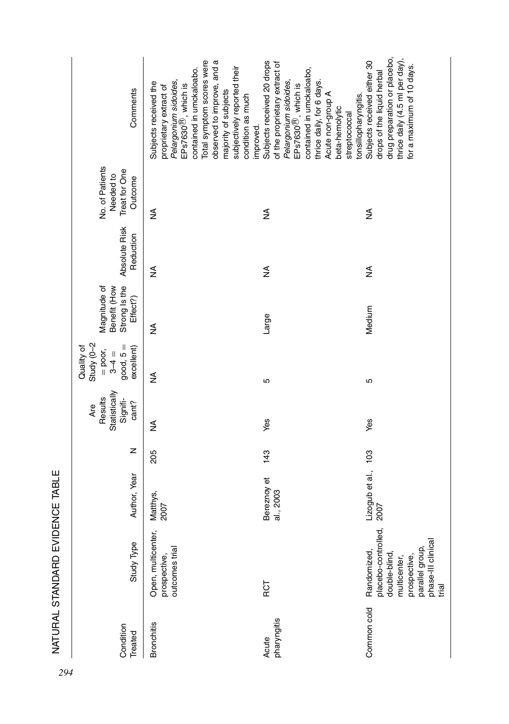NATURAL STANDARD EVIDENCE TABLE NATURAL STANDARD EVIDENCE TABLE

| Comments<br>No. of Patients<br>Treat for One<br>Needed to<br>Outcome               | Total symptom scores were<br>observed to improve, and a<br>subjectively reported their<br>contained in umckaloabo.<br><i>Pelargonium sidoides,</i><br>EPs7630 <sup>®</sup> , which is<br>Subjects received the<br>proprietary extract of<br>majority of subjects<br>condition as much<br>improved. | Subjects received 20 drops<br>of the proprietary extract of<br>contained in umckaloabo,<br>Pelargonium sidoides,<br>thrice daily, for 6 days.<br>EPs7630 <sup>®</sup> , which is<br>Acute non-group A<br>beta-hemolytic<br>streptococcal | drug preparation or placebo,<br>thrice daily (4.5 ml per day),<br>Subjects received either 30<br>for a maximum of 10 days.<br>drops of the liquid herbal<br>tonsillopharyngitis. |
|------------------------------------------------------------------------------------|----------------------------------------------------------------------------------------------------------------------------------------------------------------------------------------------------------------------------------------------------------------------------------------------------|------------------------------------------------------------------------------------------------------------------------------------------------------------------------------------------------------------------------------------------|----------------------------------------------------------------------------------------------------------------------------------------------------------------------------------|
|                                                                                    | ≸                                                                                                                                                                                                                                                                                                  | ≸                                                                                                                                                                                                                                        | ≸                                                                                                                                                                                |
| Absolute Risk<br>Reduction                                                         | ≸                                                                                                                                                                                                                                                                                                  | ≸                                                                                                                                                                                                                                        | ≸                                                                                                                                                                                |
| Strong Is the<br>Magnitude of<br>Benefit (How<br>Effect?)                          | ₹                                                                                                                                                                                                                                                                                                  | Large                                                                                                                                                                                                                                    | Medium                                                                                                                                                                           |
| Study $(0-2)$<br>$good, 5 =$<br>excellent)<br>Quality of<br>$=$ poor,<br>$3 - 4 =$ | $\frac{4}{2}$                                                                                                                                                                                                                                                                                      | Ю                                                                                                                                                                                                                                        | Ю                                                                                                                                                                                |
| Statistically<br>Results<br>Signifi-<br>cant?<br>Are                               | ≸                                                                                                                                                                                                                                                                                                  | yes                                                                                                                                                                                                                                      | Yes                                                                                                                                                                              |
| z                                                                                  | 205                                                                                                                                                                                                                                                                                                | 143                                                                                                                                                                                                                                      |                                                                                                                                                                                  |
| Author, Year                                                                       | Matthys,<br>2007                                                                                                                                                                                                                                                                                   | Bereznoy et<br>al., 2003                                                                                                                                                                                                                 | Lizogub et al., 103<br>2007                                                                                                                                                      |
| <b>Study Type</b>                                                                  | Open, multicenter,<br>outcomes trial<br>prospective,                                                                                                                                                                                                                                               | RCT                                                                                                                                                                                                                                      | placebo-controlled,<br>double-blind,<br>phase-III clinical<br>parallel group,<br>Randomized,<br>prospective,<br>multicenter,                                                     |
| Condition<br>Treated                                                               | <b>Bronchitis</b>                                                                                                                                                                                                                                                                                  | pharyngitis<br>Acute                                                                                                                                                                                                                     | Common cold                                                                                                                                                                      |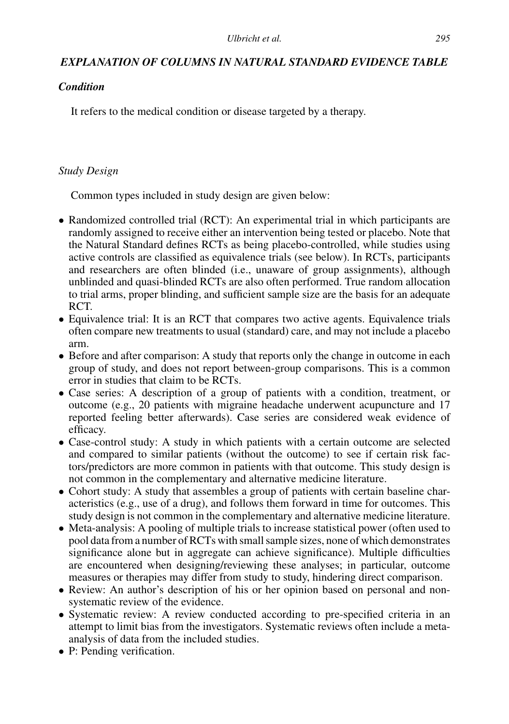## *EXPLANATION OF COLUMNS IN NATURAL STANDARD EVIDENCE TABLE*

## *Condition*

It refers to the medical condition or disease targeted by a therapy.

## *Study Design*

Common types included in study design are given below:

- Randomized controlled trial (RCT): An experimental trial in which participants are randomly assigned to receive either an intervention being tested or placebo. Note that the Natural Standard defines RCTs as being placebo-controlled, while studies using active controls are classified as equivalence trials (see below). In RCTs, participants and researchers are often blinded (i.e., unaware of group assignments), although unblinded and quasi-blinded RCTs are also often performed. True random allocation to trial arms, proper blinding, and sufficient sample size are the basis for an adequate RCT.
- Equivalence trial: It is an RCT that compares two active agents. Equivalence trials often compare new treatments to usual (standard) care, and may not include a placebo arm.
- Before and after comparison: A study that reports only the change in outcome in each group of study, and does not report between-group comparisons. This is a common error in studies that claim to be RCTs.
- Case series: A description of a group of patients with a condition, treatment, or outcome (e.g., 20 patients with migraine headache underwent acupuncture and 17 reported feeling better afterwards). Case series are considered weak evidence of efficacy.
- Case-control study: A study in which patients with a certain outcome are selected and compared to similar patients (without the outcome) to see if certain risk factors/predictors are more common in patients with that outcome. This study design is not common in the complementary and alternative medicine literature.
- Cohort study: A study that assembles a group of patients with certain baseline characteristics (e.g., use of a drug), and follows them forward in time for outcomes. This study design is not common in the complementary and alternative medicine literature.
- Meta-analysis: A pooling of multiple trials to increase statistical power (often used to pool data from a number of RCTs with small sample sizes, none of which demonstrates significance alone but in aggregate can achieve significance). Multiple difficulties are encountered when designing/reviewing these analyses; in particular, outcome measures or therapies may differ from study to study, hindering direct comparison.
- Review: An author's description of his or her opinion based on personal and nonsystematic review of the evidence.
- Systematic review: A review conducted according to pre-specified criteria in an attempt to limit bias from the investigators. Systematic reviews often include a metaanalysis of data from the included studies.
- P: Pending verification.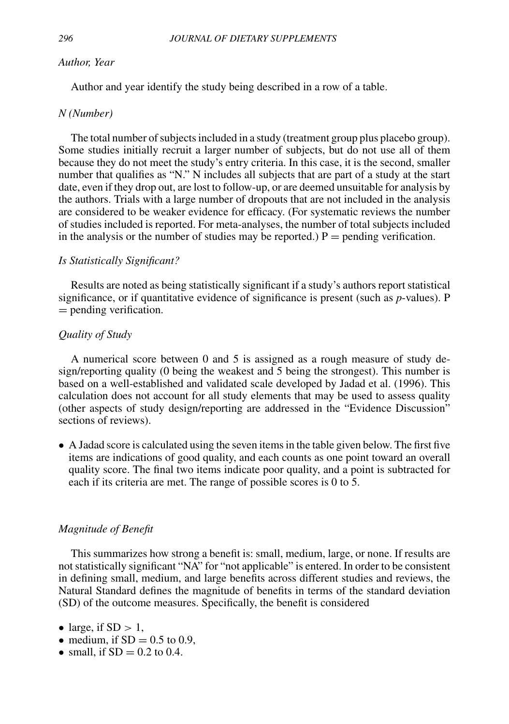#### *Author, Year*

Author and year identify the study being described in a row of a table.

#### *N (Number)*

The total number of subjects included in a study (treatment group plus placebo group). Some studies initially recruit a larger number of subjects, but do not use all of them because they do not meet the study's entry criteria. In this case, it is the second, smaller number that qualifies as "N." N includes all subjects that are part of a study at the start date, even if they drop out, are lost to follow-up, or are deemed unsuitable for analysis by the authors. Trials with a large number of dropouts that are not included in the analysis are considered to be weaker evidence for efficacy. (For systematic reviews the number of studies included is reported. For meta-analyses, the number of total subjects included in the analysis or the number of studies may be reported.)  $P =$  pending verification.

### *Is Statistically Significant?*

Results are noted as being statistically significant if a study's authors report statistical significance, or if quantitative evidence of significance is present (such as *p*-values). P = pending verification.

### *Quality of Study*

A numerical score between 0 and 5 is assigned as a rough measure of study design/reporting quality (0 being the weakest and 5 being the strongest). This number is based on a well-established and validated scale developed by Jadad et al. (1996). This calculation does not account for all study elements that may be used to assess quality (other aspects of study design/reporting are addressed in the "Evidence Discussion" sections of reviews).

• A Jadad score is calculated using the seven items in the table given below. The first five items are indications of good quality, and each counts as one point toward an overall quality score. The final two items indicate poor quality, and a point is subtracted for each if its criteria are met. The range of possible scores is 0 to 5.

#### *Magnitude of Benefit*

This summarizes how strong a benefit is: small, medium, large, or none. If results are not statistically significant "NA" for "not applicable" is entered. In order to be consistent in defining small, medium, and large benefits across different studies and reviews, the Natural Standard defines the magnitude of benefits in terms of the standard deviation (SD) of the outcome measures. Specifically, the benefit is considered

- large, if SD *>* 1,
- medium, if  $SD = 0.5$  to 0.9,
- small, if  $SD = 0.2$  to 0.4.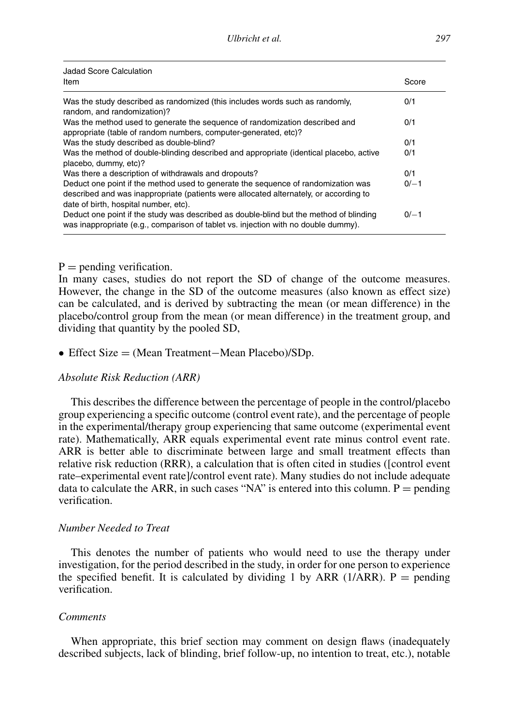| Jadad Score Calculation                                                                                                                                                                                             |        |
|---------------------------------------------------------------------------------------------------------------------------------------------------------------------------------------------------------------------|--------|
| Item                                                                                                                                                                                                                | Score  |
| Was the study described as randomized (this includes words such as randomly,<br>random, and randomization)?                                                                                                         | 0/1    |
| Was the method used to generate the sequence of randomization described and<br>appropriate (table of random numbers, computer-generated, etc)?                                                                      | 0/1    |
| Was the study described as double-blind?                                                                                                                                                                            | 0/1    |
| Was the method of double-blinding described and appropriate (identical placebo, active<br>placebo, dummy, etc)?                                                                                                     | 0/1    |
| Was there a description of withdrawals and dropouts?                                                                                                                                                                | 0/1    |
| Deduct one point if the method used to generate the sequence of randomization was<br>described and was inappropriate (patients were allocated alternately, or according to<br>date of birth, hospital number, etc). | $0/-1$ |
| Deduct one point if the study was described as double-blind but the method of blinding<br>was inappropriate (e.g., comparison of tablet vs. injection with no double dummy).                                        | $0/-1$ |

### $P =$  pending verification.

In many cases, studies do not report the SD of change of the outcome measures. However, the change in the SD of the outcome measures (also known as effect size) can be calculated, and is derived by subtracting the mean (or mean difference) in the placebo/control group from the mean (or mean difference) in the treatment group, and dividing that quantity by the pooled SD,

### • Effect Size = (Mean Treatment−Mean Placebo)/SDp.

### *Absolute Risk Reduction (ARR)*

This describes the difference between the percentage of people in the control/placebo group experiencing a specific outcome (control event rate), and the percentage of people in the experimental/therapy group experiencing that same outcome (experimental event rate). Mathematically, ARR equals experimental event rate minus control event rate. ARR is better able to discriminate between large and small treatment effects than relative risk reduction (RRR), a calculation that is often cited in studies ([control event rate–experimental event rate]/control event rate). Many studies do not include adequate data to calculate the ARR, in such cases "NA" is entered into this column.  $P =$  pending verification.

### *Number Needed to Treat*

This denotes the number of patients who would need to use the therapy under investigation, for the period described in the study, in order for one person to experience the specified benefit. It is calculated by dividing 1 by ARR (1/ARR).  $P =$  pending verification.

### *Comments*

When appropriate, this brief section may comment on design flaws (inadequately described subjects, lack of blinding, brief follow-up, no intention to treat, etc.), notable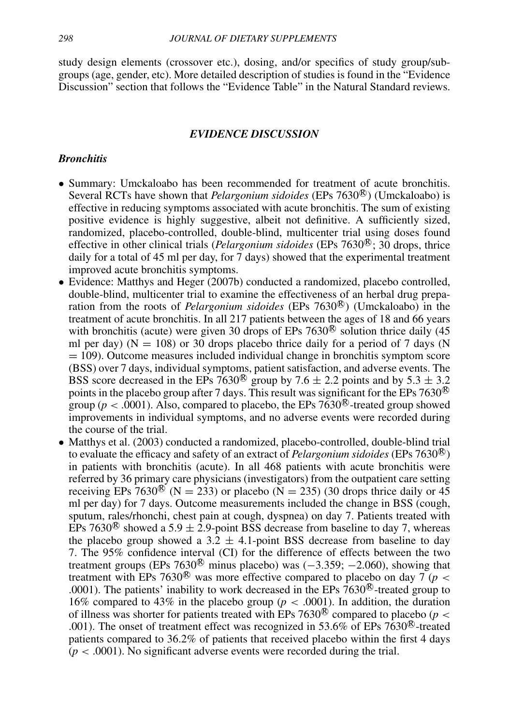study design elements (crossover etc.), dosing, and/or specifics of study group/subgroups (age, gender, etc). More detailed description of studies is found in the "Evidence Discussion" section that follows the "Evidence Table" in the Natural Standard reviews.

### *EVIDENCE DISCUSSION*

### *Bronchitis*

- Summary: Umckaloabo has been recommended for treatment of acute bronchitis. Several RCTs have shown that *Pelargonium sidoides* (EPs 7630<sup>®</sup>) (Umckaloabo) is effective in reducing symptoms associated with acute bronchitis. The sum of existing positive evidence is highly suggestive, albeit not definitive. A sufficiently sized, randomized, placebo-controlled, double-blind, multicenter trial using doses found effective in other clinical trials (*Pelargonium sidoides* (EPs 7630<sup>®</sup>; 30 drops, thrice daily for a total of 45 ml per day, for 7 days) showed that the experimental treatment improved acute bronchitis symptoms.
- Evidence: Matthys and Heger (2007b) conducted a randomized, placebo controlled, double-blind, multicenter trial to examine the effectiveness of an herbal drug preparation from the roots of *Pelargonium sidoides* (EPs 7630<sup>®</sup>) (Umckaloabo) in the treatment of acute bronchitis. In all 217 patients between the ages of 18 and 66 years with bronchitis (acute) were given 30 drops of EPs  $7630^{\circ}$  solution thrice daily (45) ml per day) ( $N = 108$ ) or 30 drops placebo thrice daily for a period of 7 days (N  $= 109$ ). Outcome measures included individual change in bronchitis symptom score (BSS) over 7 days, individual symptoms, patient satisfaction, and adverse events. The BSS score decreased in the EPs  $7630^{\circ}$  group by 7.6  $\pm$  2.2 points and by 5.3  $\pm$  3.2 points in the placebo group after 7 days. This result was significant for the EPs  $7630^{\circ}$ group ( $p < .0001$ ). Also, compared to placebo, the EPs 7630<sup>®</sup>-treated group showed improvements in individual symptoms, and no adverse events were recorded during the course of the trial.
- Matthys et al. (2003) conducted a randomized, placebo-controlled, double-blind trial to evaluate the efficacy and safety of an extract of *Pelargonium sidoides* (EPs 7630<sup>®</sup>) in patients with bronchitis (acute). In all 468 patients with acute bronchitis were referred by 36 primary care physicians (investigators) from the outpatient care setting receiving EPs 7630<sup>®</sup> (N = 233) or placebo (N = 235) (30 drops thrice daily or 45 ml per day) for 7 days. Outcome measurements included the change in BSS (cough, sputum, rales/rhonchi, chest pain at cough, dyspnea) on day 7. Patients treated with EPs 7630<sup>®</sup> showed a 5.9  $\pm$  2.9-point BSS decrease from baseline to day 7, whereas the placebo group showed a 3.2  $\pm$  4.1-point BSS decrease from baseline to day 7. The 95% confidence interval (CI) for the difference of effects between the two treatment groups (EPs  $7630^{\circ}$  minus placebo) was ( $-3.359$ ;  $-2.060$ ), showing that treatment with EPs  $7630^{\circ}$  was more effective compared to placebo on day  $7 (p \lt \theta)$ .0001). The patients' inability to work decreased in the EPs  $7630^{\circ}$ -treated group to 16% compared to 43% in the placebo group ( $p < .0001$ ). In addition, the duration of illness was shorter for patients treated with EPs 7630<sup>®</sup> compared to placebo ( $p <$ .001). The onset of treatment effect was recognized in 53.6% of EPs  $7630\%$ -treated patients compared to 36.2% of patients that received placebo within the first 4 days  $(p < .0001)$ . No significant adverse events were recorded during the trial.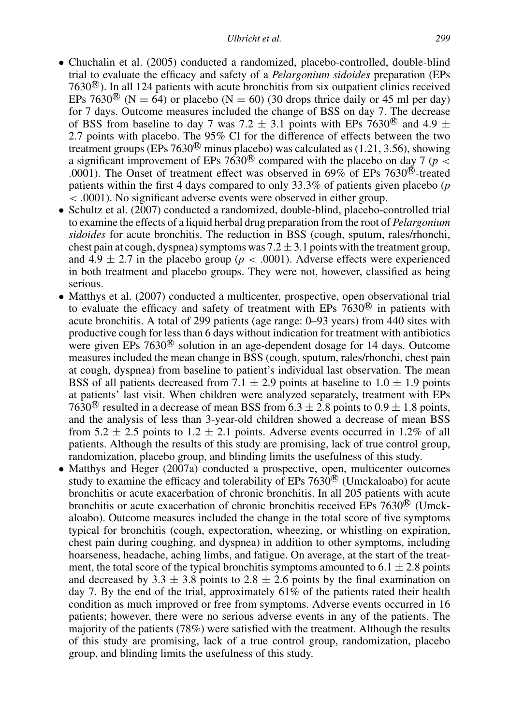- Chuchalin et al. (2005) conducted a randomized, placebo-controlled, double-blind trial to evaluate the efficacy and safety of a *Pelargonium sidoides* preparation (EPs  $7630\%$ ). In all 124 patients with acute bronchitis from six outpatient clinics received EPs 7630<sup>®</sup> (N = 64) or placebo (N = 60) (30 drops thrice daily or 45 ml per day) for 7 days. Outcome measures included the change of BSS on day 7. The decrease of BSS from baseline to day 7 was 7.2  $\pm$  3.1 points with EPs 7630<sup>®</sup> and 4.9  $\pm$ 2.7 points with placebo. The 95% CI for the difference of effects between the two treatment groups (EPs  $7630\%$  minus placebo) was calculated as (1.21, 3.56), showing a significant improvement of EPs  $7630^{\circ}$  compared with the placebo on day 7 (*p* < .0001). The Onset of treatment effect was observed in  $69\%$  of EPs  $7630\%$ -treated patients within the first 4 days compared to only 33.3% of patients given placebo (*p <* .0001). No significant adverse events were observed in either group.
- Schultz et al. (2007) conducted a randomized, double-blind, placebo-controlled trial to examine the effects of a liquid herbal drug preparation from the root of *Pelargonium sidoides* for acute bronchitis. The reduction in BSS (cough, sputum, rales/rhonchi, chest pain at cough, dyspnea) symptoms was  $7.2 \pm 3.1$  points with the treatment group, and  $4.9 \pm 2.7$  in the placebo group ( $p < .0001$ ). Adverse effects were experienced in both treatment and placebo groups. They were not, however, classified as being serious.
- Matthys et al. (2007) conducted a multicenter, prospective, open observational trial to evaluate the efficacy and safety of treatment with EPs  $7630^{\circ}$  in patients with acute bronchitis. A total of 299 patients (age range: 0–93 years) from 440 sites with productive cough for less than 6 days without indication for treatment with antibiotics were given EPs  $7630^{\circ}$  solution in an age-dependent dosage for 14 days. Outcome measures included the mean change in BSS (cough, sputum, rales/rhonchi, chest pain at cough, dyspnea) from baseline to patient's individual last observation. The mean BSS of all patients decreased from 7.1  $\pm$  2.9 points at baseline to 1.0  $\pm$  1.9 points at patients' last visit. When children were analyzed separately, treatment with EPs 7630<sup>®</sup> resulted in a decrease of mean BSS from 6.3  $\pm$  2.8 points to 0.9  $\pm$  1.8 points, and the analysis of less than 3-year-old children showed a decrease of mean BSS from 5.2  $\pm$  2.5 points to 1.2  $\pm$  2.1 points. Adverse events occurred in 1.2% of all patients. Although the results of this study are promising, lack of true control group, randomization, placebo group, and blinding limits the usefulness of this study.
- Matthys and Heger (2007a) conducted a prospective, open, multicenter outcomes study to examine the efficacy and tolerability of EPs  $7630\%$  (Umckaloabo) for acute bronchitis or acute exacerbation of chronic bronchitis. In all 205 patients with acute bronchitis or acute exacerbation of chronic bronchitis received EPs  $7630\%$  (Umckaloabo). Outcome measures included the change in the total score of five symptoms typical for bronchitis (cough, expectoration, wheezing, or whistling on expiration, chest pain during coughing, and dyspnea) in addition to other symptoms, including hoarseness, headache, aching limbs, and fatigue. On average, at the start of the treatment, the total score of the typical bronchitis symptoms amounted to  $6.1 \pm 2.8$  points and decreased by 3.3  $\pm$  3.8 points to 2.8  $\pm$  2.6 points by the final examination on day 7. By the end of the trial, approximately 61% of the patients rated their health condition as much improved or free from symptoms. Adverse events occurred in 16 patients; however, there were no serious adverse events in any of the patients. The majority of the patients (78%) were satisfied with the treatment. Although the results of this study are promising, lack of a true control group, randomization, placebo group, and blinding limits the usefulness of this study.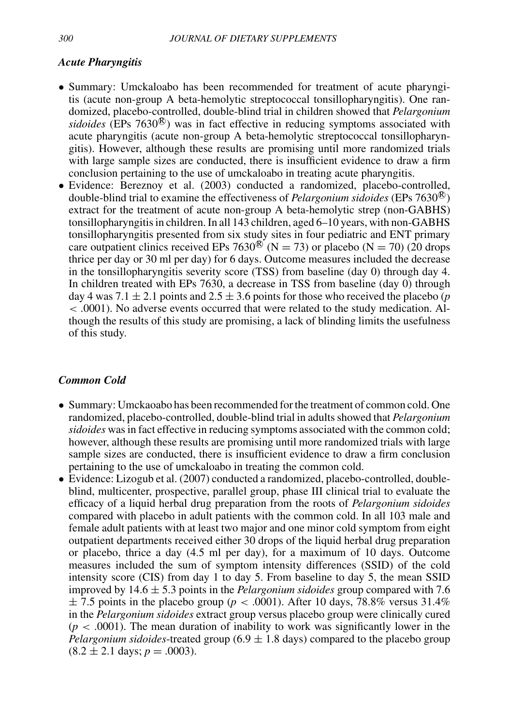### *Acute Pharyngitis*

- Summary: Umckaloabo has been recommended for treatment of acute pharyngitis (acute non-group A beta-hemolytic streptococcal tonsillopharyngitis). One randomized, placebo-controlled, double-blind trial in children showed that *Pelargonium*  $sidoides$  ( $EPs$  7630 $\textcircled{8}$ ) was in fact effective in reducing symptoms associated with acute pharyngitis (acute non-group A beta-hemolytic streptococcal tonsillopharyngitis). However, although these results are promising until more randomized trials with large sample sizes are conducted, there is insufficient evidence to draw a firm conclusion pertaining to the use of umckaloabo in treating acute pharyngitis.
- Evidence: Bereznoy et al. (2003) conducted a randomized, placebo-controlled, double-blind trial to examine the effectiveness of *Pelargonium sidoides* (EPs 7630<sup>®</sup>) extract for the treatment of acute non-group A beta-hemolytic strep (non-GABHS) tonsillopharyngitis in children. In all 143 children, aged 6–10 years, with non-GABHS tonsillopharyngitis presented from six study sites in four pediatric and ENT primary care outpatient clinics received EPs 7630<sup>®</sup> (N = 73) or placebo (N = 70) (20 drops thrice per day or 30 ml per day) for 6 days. Outcome measures included the decrease in the tonsillopharyngitis severity score (TSS) from baseline (day 0) through day 4. In children treated with EPs 7630, a decrease in TSS from baseline (day 0) through day 4 was 7.1  $\pm$  2.1 points and 2.5  $\pm$  3.6 points for those who received the placebo (*p <* .0001). No adverse events occurred that were related to the study medication. Although the results of this study are promising, a lack of blinding limits the usefulness of this study.

### *Common Cold*

- Summary: Umckaoabo has been recommended for the treatment of common cold. One randomized, placebo-controlled, double-blind trial in adults showed that *Pelargonium sidoides* was in fact effective in reducing symptoms associated with the common cold; however, although these results are promising until more randomized trials with large sample sizes are conducted, there is insufficient evidence to draw a firm conclusion pertaining to the use of umckaloabo in treating the common cold.
- Evidence: Lizogub et al. (2007) conducted a randomized, placebo-controlled, doubleblind, multicenter, prospective, parallel group, phase III clinical trial to evaluate the efficacy of a liquid herbal drug preparation from the roots of *Pelargonium sidoides* compared with placebo in adult patients with the common cold. In all 103 male and female adult patients with at least two major and one minor cold symptom from eight outpatient departments received either 30 drops of the liquid herbal drug preparation or placebo, thrice a day (4.5 ml per day), for a maximum of 10 days. Outcome measures included the sum of symptom intensity differences (SSID) of the cold intensity score (CIS) from day 1 to day 5. From baseline to day 5, the mean SSID improved by 14.6 ± 5.3 points in the *Pelargonium sidoides* group compared with 7.6  $\pm$  7.5 points in the placebo group ( $p < .0001$ ). After 10 days, 78.8% versus 31.4% in the *Pelargonium sidoides* extract group versus placebo group were clinically cured  $(p < .0001)$ . The mean duration of inability to work was significantly lower in the *Pelargonium sidoides*-treated group  $(6.9 \pm 1.8 \text{ days})$  compared to the placebo group  $(8.2 \pm 2.1 \text{ days}; p = .0003).$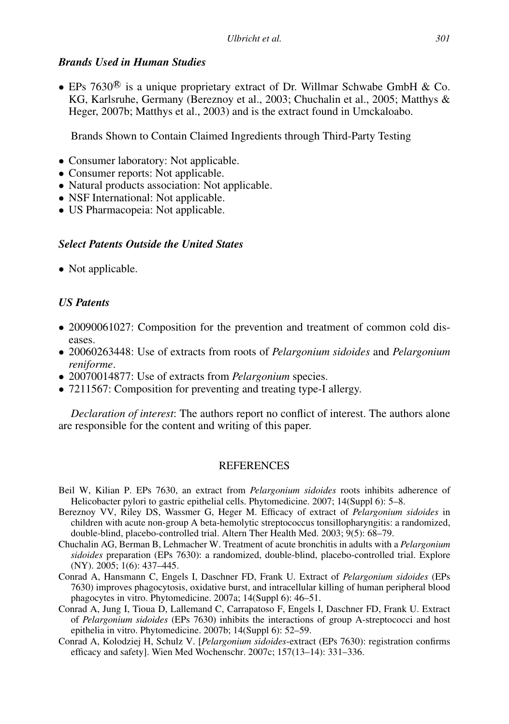## *Brands Used in Human Studies*

• EPs  $7630^{\circ}$  is a unique proprietary extract of Dr. Willmar Schwabe GmbH & Co. KG, Karlsruhe, Germany (Bereznoy et al., 2003; Chuchalin et al., 2005; Matthys & Heger, 2007b; Matthys et al., 2003) and is the extract found in Umckaloabo.

Brands Shown to Contain Claimed Ingredients through Third-Party Testing

- Consumer laboratory: Not applicable.
- Consumer reports: Not applicable.
- Natural products association: Not applicable.
- NSF International: Not applicable.
- US Pharmacopeia: Not applicable.

## *Select Patents Outside the United States*

• Not applicable.

## *US Patents*

- 20090061027: Composition for the prevention and treatment of common cold diseases.
- 20060263448: Use of extracts from roots of *Pelargonium sidoides* and *Pelargonium reniforme*.
- 20070014877: Use of extracts from *Pelargonium* species.
- 7211567: Composition for preventing and treating type-I allergy.

*Declaration of interest*: The authors report no conflict of interest. The authors alone are responsible for the content and writing of this paper.

## **REFERENCES**

- Beil W, Kilian P. EPs 7630, an extract from *Pelargonium sidoides* roots inhibits adherence of Helicobacter pylori to gastric epithelial cells. Phytomedicine. 2007; 14(Suppl 6): 5–8.
- Bereznoy VV, Riley DS, Wassmer G, Heger M. Efficacy of extract of *Pelargonium sidoides* in children with acute non-group A beta-hemolytic streptococcus tonsillopharyngitis: a randomized, double-blind, placebo-controlled trial. Altern Ther Health Med. 2003; 9(5): 68–79.
- Chuchalin AG, Berman B, Lehmacher W. Treatment of acute bronchitis in adults with a *Pelargonium sidoides* preparation (EPs 7630): a randomized, double-blind, placebo-controlled trial. Explore (NY). 2005; 1(6): 437–445.
- Conrad A, Hansmann C, Engels I, Daschner FD, Frank U. Extract of *Pelargonium sidoides* (EPs 7630) improves phagocytosis, oxidative burst, and intracellular killing of human peripheral blood phagocytes in vitro. Phytomedicine. 2007a; 14(Suppl 6): 46–51.
- Conrad A, Jung I, Tioua D, Lallemand C, Carrapatoso F, Engels I, Daschner FD, Frank U. Extract of *Pelargonium sidoides* (EPs 7630) inhibits the interactions of group A-streptococci and host epithelia in vitro. Phytomedicine. 2007b; 14(Suppl 6): 52–59.
- Conrad A, Kolodziej H, Schulz V. [*Pelargonium sidoides*-extract (EPs 7630): registration confirms efficacy and safety]. Wien Med Wochenschr. 2007c; 157(13–14): 331–336.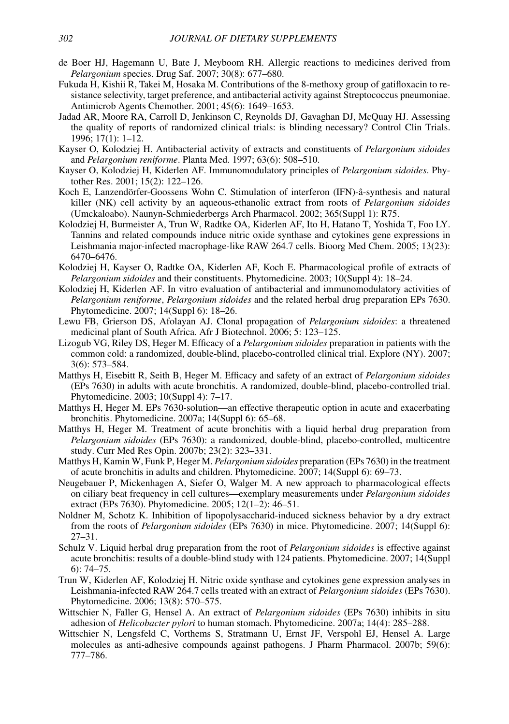- de Boer HJ, Hagemann U, Bate J, Meyboom RH. Allergic reactions to medicines derived from *Pelargonium* species. Drug Saf. 2007; 30(8): 677–680.
- Fukuda H, Kishii R, Takei M, Hosaka M. Contributions of the 8-methoxy group of gatifloxacin to resistance selectivity, target preference, and antibacterial activity against Streptococcus pneumoniae. Antimicrob Agents Chemother. 2001; 45(6): 1649–1653.
- Jadad AR, Moore RA, Carroll D, Jenkinson C, Reynolds DJ, Gavaghan DJ, McQuay HJ. Assessing the quality of reports of randomized clinical trials: is blinding necessary? Control Clin Trials. 1996; 17(1): 1–12.
- Kayser O, Kolodziej H. Antibacterial activity of extracts and constituents of *Pelargonium sidoides* and *Pelargonium reniforme*. Planta Med. 1997; 63(6): 508–510.
- Kayser O, Kolodziej H, Kiderlen AF. Immunomodulatory principles of *Pelargonium sidoides*. Phytother Res. 2001; 15(2): 122–126.
- Koch E, Lanzendörfer-Goossens Wohn C. Stimulation of interferon (IFN)-â-synthesis and natural killer (NK) cell activity by an aqueous-ethanolic extract from roots of *Pelargonium sidoides* (Umckaloabo). Naunyn-Schmiederbergs Arch Pharmacol. 2002; 365(Suppl 1): R75.
- Kolodziej H, Burmeister A, Trun W, Radtke OA, Kiderlen AF, Ito H, Hatano T, Yoshida T, Foo LY. Tannins and related compounds induce nitric oxide synthase and cytokines gene expressions in Leishmania major-infected macrophage-like RAW 264.7 cells. Bioorg Med Chem. 2005; 13(23): 6470–6476.
- Kolodziej H, Kayser O, Radtke OA, Kiderlen AF, Koch E. Pharmacological profile of extracts of *Pelargonium sidoides* and their constituents. Phytomedicine. 2003; 10(Suppl 4): 18–24.
- Kolodziej H, Kiderlen AF. In vitro evaluation of antibacterial and immunomodulatory activities of *Pelargonium reniforme*, *Pelargonium sidoides* and the related herbal drug preparation EPs 7630. Phytomedicine. 2007; 14(Suppl 6): 18–26.
- Lewu FB, Grierson DS, Afolayan AJ. Clonal propagation of *Pelargonium sidoides*: a threatened medicinal plant of South Africa. Afr J Biotechnol. 2006; 5: 123–125.
- Lizogub VG, Riley DS, Heger M. Efficacy of a *Pelargonium sidoides* preparation in patients with the common cold: a randomized, double-blind, placebo-controlled clinical trial. Explore (NY). 2007; 3(6): 573–584.
- Matthys H, Eisebitt R, Seith B, Heger M. Efficacy and safety of an extract of *Pelargonium sidoides* (EPs 7630) in adults with acute bronchitis. A randomized, double-blind, placebo-controlled trial. Phytomedicine. 2003; 10(Suppl 4): 7–17.
- Matthys H, Heger M. EPs 7630-solution—an effective therapeutic option in acute and exacerbating bronchitis. Phytomedicine. 2007a; 14(Suppl 6): 65–68.
- Matthys H, Heger M. Treatment of acute bronchitis with a liquid herbal drug preparation from *Pelargonium sidoides* (EPs 7630): a randomized, double-blind, placebo-controlled, multicentre study. Curr Med Res Opin. 2007b; 23(2): 323–331.
- Matthys H, Kamin W, Funk P, Heger M. *Pelargonium sidoides* preparation (EPs 7630) in the treatment of acute bronchitis in adults and children. Phytomedicine. 2007; 14(Suppl 6): 69–73.
- Neugebauer P, Mickenhagen A, Siefer O, Walger M. A new approach to pharmacological effects on ciliary beat frequency in cell cultures—exemplary measurements under *Pelargonium sidoides* extract (EPs 7630). Phytomedicine. 2005; 12(1–2): 46–51.
- Noldner M, Schotz K. Inhibition of lipopolysaccharid-induced sickness behavior by a dry extract from the roots of *Pelargonium sidoides* (EPs 7630) in mice. Phytomedicine. 2007; 14(Suppl 6): 27–31.
- Schulz V. Liquid herbal drug preparation from the root of *Pelargonium sidoides* is effective against acute bronchitis: results of a double-blind study with 124 patients. Phytomedicine. 2007; 14(Suppl 6): 74–75.
- Trun W, Kiderlen AF, Kolodziej H. Nitric oxide synthase and cytokines gene expression analyses in Leishmania-infected RAW 264.7 cells treated with an extract of *Pelargonium sidoides* (EPs 7630). Phytomedicine. 2006; 13(8): 570–575.
- Wittschier N, Faller G, Hensel A. An extract of *Pelargonium sidoides* (EPs 7630) inhibits in situ adhesion of *Helicobacter pylori* to human stomach. Phytomedicine. 2007a; 14(4): 285–288.
- Wittschier N, Lengsfeld C, Vorthems S, Stratmann U, Ernst JF, Verspohl EJ, Hensel A. Large molecules as anti-adhesive compounds against pathogens. J Pharm Pharmacol. 2007b; 59(6): 777–786.